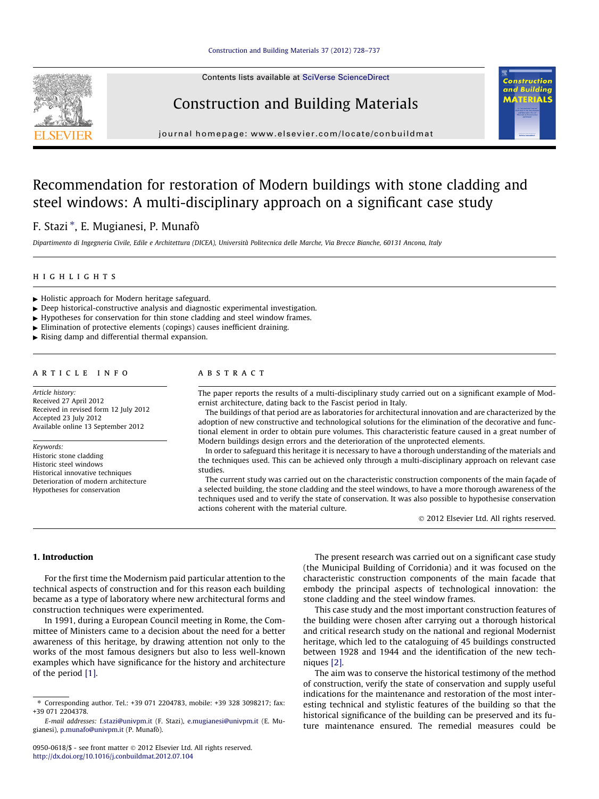Contents lists available at [SciVerse ScienceDirect](http://www.sciencedirect.com/science/journal/09500618)





journal homepage: [www.elsevier.com/locate/conbuildmat](http://www.elsevier.com/locate/conbuildmat)

# Recommendation for restoration of Modern buildings with stone cladding and steel windows: A multi-disciplinary approach on a significant case study

# F. Stazi \*, E. Mugianesi, P. Munafò

Dipartimento di Ingegneria Civile, Edile e Architettura (DICEA), Università Politecnica delle Marche, Via Brecce Bianche, 60131 Ancona, Italy

## highlights

- $\blacktriangleright$  Holistic approach for Modern heritage safeguard.
- $\triangleright$  Deep historical-constructive analysis and diagnostic experimental investigation.
- $\blacktriangleright$  Hypotheses for conservation for thin stone cladding and steel window frames.
- $\blacktriangleright$  Elimination of protective elements (copings) causes inefficient draining.
- $\triangleright$  Rising damp and differential thermal expansion.

#### article info

Article history: Received 27 April 2012 Received in revised form 12 July 2012 Accepted 23 July 2012 Available online 13 September 2012

Keywords: Historic stone cladding Historic steel windows Historical innovative techniques Deterioration of modern architecture Hypotheses for conservation

## ABSTRACT

The paper reports the results of a multi-disciplinary study carried out on a significant example of Modernist architecture, dating back to the Fascist period in Italy.

The buildings of that period are as laboratories for architectural innovation and are characterized by the adoption of new constructive and technological solutions for the elimination of the decorative and functional element in order to obtain pure volumes. This characteristic feature caused in a great number of Modern buildings design errors and the deterioration of the unprotected elements.

In order to safeguard this heritage it is necessary to have a thorough understanding of the materials and the techniques used. This can be achieved only through a multi-disciplinary approach on relevant case studies.

The current study was carried out on the characteristic construction components of the main façade of a selected building, the stone cladding and the steel windows, to have a more thorough awareness of the techniques used and to verify the state of conservation. It was also possible to hypothesise conservation actions coherent with the material culture.

- 2012 Elsevier Ltd. All rights reserved.

# 1. Introduction

For the first time the Modernism paid particular attention to the technical aspects of construction and for this reason each building became as a type of laboratory where new architectural forms and construction techniques were experimented.

In 1991, during a European Council meeting in Rome, the Committee of Ministers came to a decision about the need for a better awareness of this heritage, by drawing attention not only to the works of the most famous designers but also to less well-known examples which have significance for the history and architecture of the period [\[1\]](#page--1-0).

The present research was carried out on a significant case study (the Municipal Building of Corridonia) and it was focused on the characteristic construction components of the main facade that embody the principal aspects of technological innovation: the stone cladding and the steel window frames.

This case study and the most important construction features of the building were chosen after carrying out a thorough historical and critical research study on the national and regional Modernist heritage, which led to the cataloguing of 45 buildings constructed between 1928 and 1944 and the identification of the new techniques [\[2\]](#page--1-0).

The aim was to conserve the historical testimony of the method of construction, verify the state of conservation and supply useful indications for the maintenance and restoration of the most interesting technical and stylistic features of the building so that the historical significance of the building can be preserved and its future maintenance ensured. The remedial measures could be

<sup>⇑</sup> Corresponding author. Tel.: +39 071 2204783, mobile: +39 328 3098217; fax: +39 071 2204378.

E-mail addresses: [f.stazi@univpm.it](mailto:f.stazi@univpm.it) (F. Stazi), [e.mugianesi@univpm.it](mailto:e.mugianesi@univpm.it) (E. Mugianesi), [p.munafo@univpm.it](mailto:p.munafo@univpm.it) (P. Munafò).

<sup>0950-0618/\$ -</sup> see front matter © 2012 Elsevier Ltd. All rights reserved. <http://dx.doi.org/10.1016/j.conbuildmat.2012.07.104>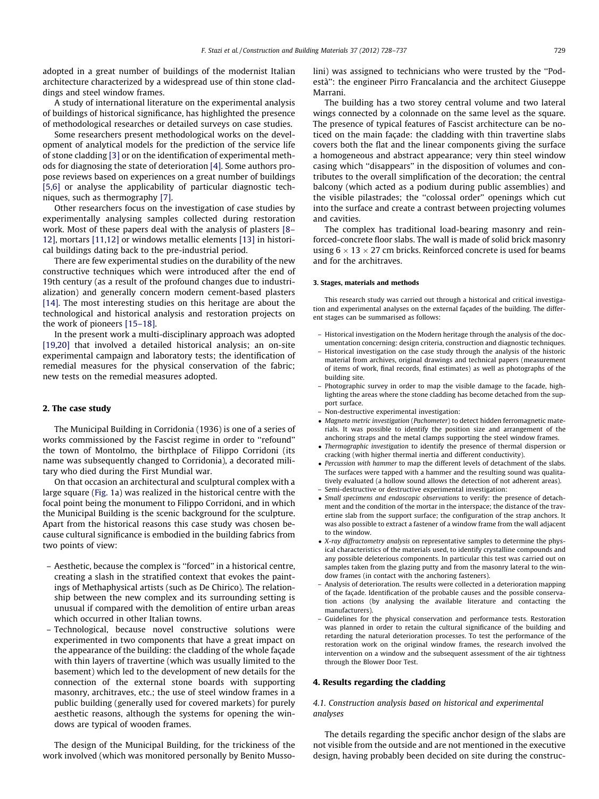adopted in a great number of buildings of the modernist Italian architecture characterized by a widespread use of thin stone claddings and steel window frames.

A study of international literature on the experimental analysis of buildings of historical significance, has highlighted the presence of methodological researches or detailed surveys on case studies.

Some researchers present methodological works on the development of analytical models for the prediction of the service life of stone cladding [\[3\]](#page--1-0) or on the identification of experimental methods for diagnosing the state of deterioration [\[4\].](#page--1-0) Some authors propose reviews based on experiences on a great number of buildings [\[5,6\]](#page--1-0) or analyse the applicability of particular diagnostic techniques, such as thermography [\[7\]](#page--1-0).

Other researchers focus on the investigation of case studies by experimentally analysing samples collected during restoration work. Most of these papers deal with the analysis of plasters [\[8–](#page--1-0) [12\]](#page--1-0), mortars [\[11,12\]](#page--1-0) or windows metallic elements [\[13\]](#page--1-0) in historical buildings dating back to the pre-industrial period.

There are few experimental studies on the durability of the new constructive techniques which were introduced after the end of 19th century (as a result of the profound changes due to industrialization) and generally concern modern cement-based plasters [\[14\].](#page--1-0) The most interesting studies on this heritage are about the technological and historical analysis and restoration projects on the work of pioneers [\[15–18\]](#page--1-0).

In the present work a multi-disciplinary approach was adopted [\[19,20\]](#page--1-0) that involved a detailed historical analysis; an on-site experimental campaign and laboratory tests; the identification of remedial measures for the physical conservation of the fabric; new tests on the remedial measures adopted.

#### 2. The case study

The Municipal Building in Corridonia (1936) is one of a series of works commissioned by the Fascist regime in order to ''refound'' the town of Montolmo, the birthplace of Filippo Corridoni (its name was subsequently changed to Corridonia), a decorated military who died during the First Mundial war.

On that occasion an architectural and sculptural complex with a large square [\(Fig. 1](#page--1-0)a) was realized in the historical centre with the focal point being the monument to Filippo Corridoni, and in which the Municipal Building is the scenic background for the sculpture. Apart from the historical reasons this case study was chosen because cultural significance is embodied in the building fabrics from two points of view:

- Aesthetic, because the complex is ''forced'' in a historical centre, creating a slash in the stratified context that evokes the paintings of Methaphysical artists (such as De Chirico). The relationship between the new complex and its surrounding setting is unusual if compared with the demolition of entire urban areas which occurred in other Italian towns.
- Technological, because novel constructive solutions were experimented in two components that have a great impact on the appearance of the building: the cladding of the whole façade with thin layers of travertine (which was usually limited to the basement) which led to the development of new details for the connection of the external stone boards with supporting masonry, architraves, etc.; the use of steel window frames in a public building (generally used for covered markets) for purely aesthetic reasons, although the systems for opening the windows are typical of wooden frames.

The design of the Municipal Building, for the trickiness of the work involved (which was monitored personally by Benito Mussolini) was assigned to technicians who were trusted by the ''Podestà'': the engineer Pirro Francalancia and the architect Giuseppe Marrani.

The building has a two storey central volume and two lateral wings connected by a colonnade on the same level as the square. The presence of typical features of Fascist architecture can be noticed on the main façade: the cladding with thin travertine slabs covers both the flat and the linear components giving the surface a homogeneous and abstract appearance; very thin steel window casing which ''disappears'' in the disposition of volumes and contributes to the overall simplification of the decoration; the central balcony (which acted as a podium during public assemblies) and the visible pilastrades; the ''colossal order'' openings which cut into the surface and create a contrast between projecting volumes and cavities.

The complex has traditional load-bearing masonry and reinforced-concrete floor slabs. The wall is made of solid brick masonry using 6  $\times$  13  $\times$  27 cm bricks. Reinforced concrete is used for beams and for the architraves.

#### 3. Stages, materials and methods

This research study was carried out through a historical and critical investigation and experimental analyses on the external façades of the building. The different stages can be summarised as follows:

- Historical investigation on the Modern heritage through the analysis of the documentation concerning: design criteria, construction and diagnostic techniques.
- Historical investigation on the case study through the analysis of the historic material from archives, original drawings and technical papers (measurement of items of work, final records, final estimates) as well as photographs of the building site.
- Photographic survey in order to map the visible damage to the facade, highlighting the areas where the stone cladding has become detached from the support surface.
- Non-destructive experimental investigation:
- Magneto metric investigation (Pachometer) to detect hidden ferromagnetic materials. It was possible to identify the position size and arrangement of the anchoring straps and the metal clamps supporting the steel window frames.
- Thermographic investigation to identify the presence of thermal dispersion or cracking (with higher thermal inertia and different conductivity).
- Percussion with hammer to map the different levels of detachment of the slabs. The surfaces were tapped with a hammer and the resulting sound was qualitatively evaluated (a hollow sound allows the detection of not adherent areas). – Semi-destructive or destructive experimental investigation:
- Small specimens and endoscopic observations to verify: the presence of detachment and the condition of the mortar in the interspace; the distance of the travertine slab from the support surface; the configuration of the strap anchors. It was also possible to extract a fastener of a window frame from the wall adjacent to the window.
- X-ray diffractometry analysis on representative samples to determine the physical characteristics of the materials used, to identify crystalline compounds and any possible deleterious components. In particular this test was carried out on samples taken from the glazing putty and from the masonry lateral to the window frames (in contact with the anchoring fasteners).
- Analysis of deterioration. The results were collected in a deterioration mapping of the façade. Identification of the probable causes and the possible conservation actions (by analysing the available literature and contacting the manufacturers).
- Guidelines for the physical conservation and performance tests. Restoration was planned in order to retain the cultural significance of the building and retarding the natural deterioration processes. To test the performance of the restoration work on the original window frames, the research involved the intervention on a window and the subsequent assessment of the air tightness through the Blower Door Test.

#### 4. Results regarding the cladding

## 4.1. Construction analysis based on historical and experimental analyses

The details regarding the specific anchor design of the slabs are not visible from the outside and are not mentioned in the executive design, having probably been decided on site during the construc-